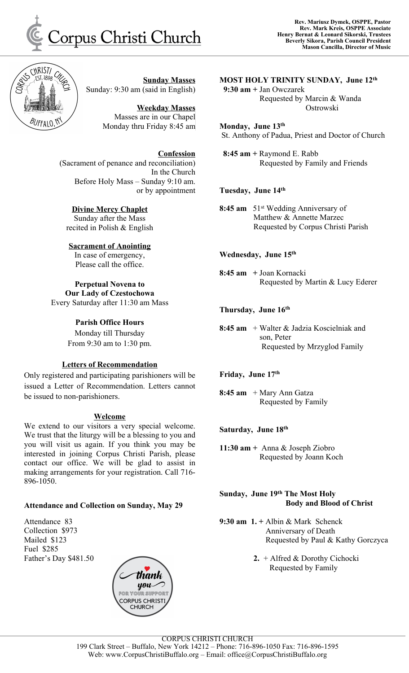

**Sunday Masses** Sunday: 9:30 am (said in English)

> **Weekday Masses** Masses are in our Chapel Monday thru Friday 8:45 am

**Confession** (Sacrament of penance and reconciliation) In the Church Before Holy Mass – Sunday 9:10 am. or by appointment

#### **Divine Mercy Chaplet** Sunday after the Mass

recited in Polish & English

## **Sacrament of Anointing**

In case of emergency, Please call the office.

# **Perpetual Novena to**

**Our Lady of Czestochowa** Every Saturday after 11:30 am Mass

## **Parish Office Hours**

Monday till Thursday From 9:30 am to 1:30 pm.

## **Letters of Recommendation**

Only registered and participating parishioners will be issued a Letter of Recommendation. Letters cannot be issued to non-parishioners.

### **Welcome**

We extend to our visitors a very special welcome. We trust that the liturgy will be a blessing to you and you will visit us again. If you think you may be interested in joining Corpus Christi Parish, please contact our office. We will be glad to assist in making arrangements for your registration. Call 716- 896-1050.

## **Attendance and Collection on Sunday, May 29**

Attendance 83 Collection \$973 Mailed \$123 Fuel \$285 Father's Day \$481.50



#### **MOST HOLY TRINITY SUNDAY, June 12 th**

**9:30 am +** Jan Owczarek Requested by Marcin & Wanda **Ostrowski** 

### **Monday, June 13 th**

St. Anthony of Padua, Priest and Doctor of Church

**8:45 am +** Raymond E. Rabb Requested by Family and Friends

## **Tuesday, June 14 th**

**8:45 am** 51 st Wedding Anniversary of Matthew & Annette Marzec Requested by Corpus Christi Parish

## **Wednesday, June 15 th**

**8:45 am +** Joan Kornacki Requested by Martin & Lucy Ederer

## **Thursday, June 16 th**

**8:45 am** + Walter & Jadzia Koscielniak and son, Peter Requested by Mrzyglod Family

### **Friday, June 17 th**

**8:45 am** + Mary Ann Gatza Requested by Family

### **Saturday, June 18 th**

**11:30 am +** Anna & Joseph Ziobro Requested by Joann Koch

#### **Sunday, June 19 th The Most Holy Body and Blood of Christ**

**9:30 am 1. +** Albin & Mark Schenck Anniversary of Death Requested by Paul & Kathy Gorczyca

> **2.** + Alfred & Dorothy Cichocki Requested by Family